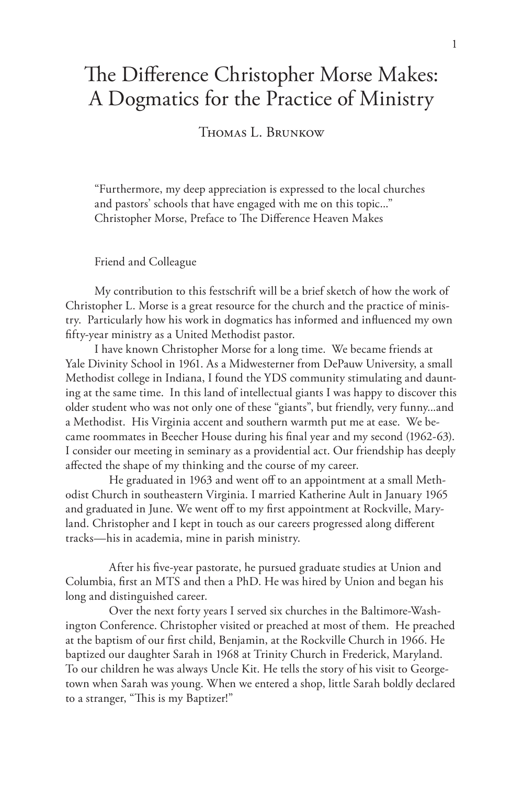# The Difference Christopher Morse Makes: A Dogmatics for the Practice of Ministry

Thomas L. Brunkow

"Furthermore, my deep appreciation is expressed to the local churches and pastors' schools that have engaged with me on this topic..." Christopher Morse, Preface to The Difference Heaven Makes

Friend and Colleague

My contribution to this festschrift will be a brief sketch of how the work of Christopher L. Morse is a great resource for the church and the practice of ministry. Particularly how his work in dogmatics has informed and influenced my own fifty-year ministry as a United Methodist pastor.

I have known Christopher Morse for a long time. We became friends at Yale Divinity School in 1961. As a Midwesterner from DePauw University, a small Methodist college in Indiana, I found the YDS community stimulating and daunting at the same time. In this land of intellectual giants I was happy to discover this older student who was not only one of these "giants", but friendly, very funny...and a Methodist. His Virginia accent and southern warmth put me at ease. We became roommates in Beecher House during his final year and my second (1962-63). I consider our meeting in seminary as a providential act. Our friendship has deeply affected the shape of my thinking and the course of my career.

He graduated in 1963 and went off to an appointment at a small Methodist Church in southeastern Virginia. I married Katherine Ault in January 1965 and graduated in June. We went off to my first appointment at Rockville, Maryland. Christopher and I kept in touch as our careers progressed along different tracks—his in academia, mine in parish ministry.

After his five-year pastorate, he pursued graduate studies at Union and Columbia, first an MTS and then a PhD. He was hired by Union and began his long and distinguished career.

Over the next forty years I served six churches in the Baltimore-Washington Conference. Christopher visited or preached at most of them. He preached at the baptism of our first child, Benjamin, at the Rockville Church in 1966. He baptized our daughter Sarah in 1968 at Trinity Church in Frederick, Maryland. To our children he was always Uncle Kit. He tells the story of his visit to Georgetown when Sarah was young. When we entered a shop, little Sarah boldly declared to a stranger, "This is my Baptizer!"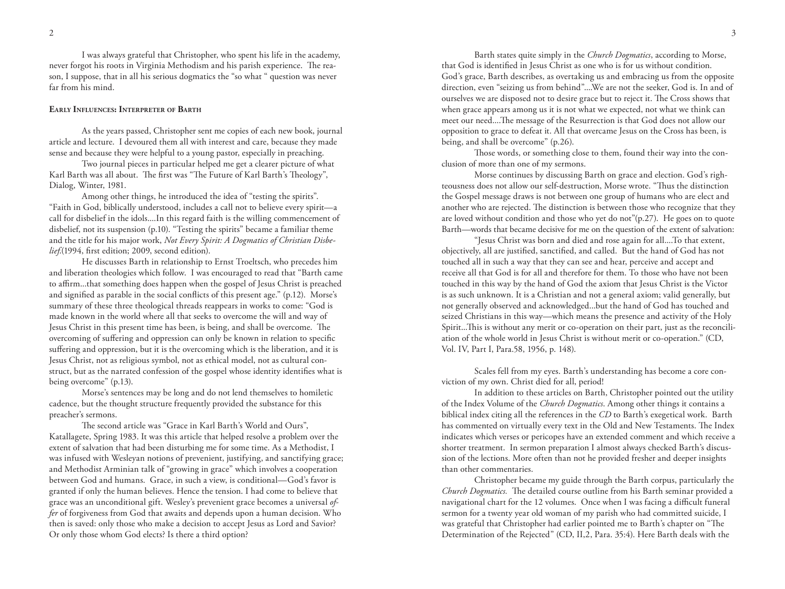I was always grateful that Christopher, who spent his life in the academy, never forgot his roots in Virginia Methodism and his parish experience. The reason, I suppose, that in all his serious dogmatics the "so what " question was never far from his mind.

## **Early Influences: Interpreter of Barth**

As the years passed, Christopher sent me copies of each new book, journal article and lecture. I devoured them all with interest and care, because they made sense and because they were helpful to a young pastor, especially in preaching.

Two journal pieces in particular helped me get a clearer picture of what Karl Barth was all about. The first was "The Future of Karl Barth's Theology", Dialog, Winter, 1981.

Among other things, he introduced the idea of "testing the spirits". "Faith in God, biblically understood, includes a call not to believe every spirit—a call for disbelief in the idols....In this regard faith is the willing commencement of disbelief, not its suspension (p.10). "Testing the spirits" became a familiar theme and the title for his major work, *Not Every Spirit: A Dogmatics of Christian Disbelief*.(1994, first edition; 2009, second edition).

He discusses Barth in relationship to Ernst Troeltsch, who precedes him and liberation theologies which follow. I was encouraged to read that "Barth came to affirm...that something does happen when the gospel of Jesus Christ is preached and signified as parable in the social conflicts of this present age." (p.12). Morse's summary of these three theological threads reappears in works to come: "God is made known in the world where all that seeks to overcome the will and way of Jesus Christ in this present time has been, is being, and shall be overcome. The overcoming of suffering and oppression can only be known in relation to specific suffering and oppression, but it is the overcoming which is the liberation, and it is Jesus Christ, not as religious symbol, not as ethical model, not as cultural construct, but as the narrated confession of the gospel whose identity identifies what is being overcome" (p.13).

Morse's sentences may be long and do not lend themselves to homiletic cadence, but the thought structure frequently provided the substance for this preacher's sermons.

The second article was "Grace in Karl Barth's World and Ours", Katallagete, Spring 1983. It was this article that helped resolve a problem over the extent of salvation that had been disturbing me for some time. As a Methodist, I was infused with Wesleyan notions of prevenient, justifying, and sanctifying grace; and Methodist Arminian talk of "growing in grace" which involves a cooperation between God and humans. Grace, in such a view, is conditional—God's favor is granted if only the human believes. Hence the tension. I had come to believe that grace was an unconditional gift. Wesley's prevenient grace becomes a universal *offer* of forgiveness from God that awaits and depends upon a human decision. Who then is saved: only those who make a decision to accept Jesus as Lord and Savior? Or only those whom God elects? Is there a third option?

Barth states quite simply in the *Church Dogmatics*, according to Morse, that God is identified in Jesus Christ as one who is for us without condition. God's grace, Barth describes, as overtaking us and embracing us from the opposite direction, even "seizing us from behind"....We are not the seeker, God is. In and of ourselves we are disposed not to desire grace but to reject it. The Cross shows that when grace appears among us it is not what we expected, not what we think can meet our need....The message of the Resurrection is that God does not allow our opposition to grace to defeat it. All that overcame Jesus on the Cross has been, is being, and shall be overcome" (p.26).

Those words, or something close to them, found their way into the conclusion of more than one of my sermons.

Morse continues by discussing Barth on grace and election. God's righteousness does not allow our self-destruction, Morse wrote. "Thus the distinction the Gospel message draws is not between one group of humans who are elect and another who are rejected. The distinction is between those who recognize that they are loved without condition and those who yet do not"(p.27). He goes on to quote Barth—words that became decisive for me on the question of the extent of salvation:

"Jesus Christ was born and died and rose again for all....To that extent, objectively, all are justified, sanctified, and called. But the hand of God has not touched all in such a way that they can see and hear, perceive and accept and receive all that God is for all and therefore for them. To those who have not been touched in this way by the hand of God the axiom that Jesus Christ is the Victor is as such unknown. It is a Christian and not a general axiom; valid generally, but not generally observed and acknowledged...but the hand of God has touched and seized Christians in this way—which means the presence and activity of the Holy Spirit...This is without any merit or co-operation on their part, just as the reconciliation of the whole world in Jesus Christ is without merit or co-operation." (CD, Vol. IV, Part I, Para.58, 1956, p. 148).

Scales fell from my eyes. Barth's understanding has become a core conviction of my own. Christ died for all, period!

In addition to these articles on Barth, Christopher pointed out the utility of the Index Volume of the *Church Dogmatics*. Among other things it contains a biblical index citing all the references in the *CD* to Barth's exegetical work. Barth has commented on virtually every text in the Old and New Testaments. The Index indicates which verses or pericopes have an extended comment and which receive a shorter treatment. In sermon preparation I almost always checked Barth's discussion of the lections. More often than not he provided fresher and deeper insights than other commentaries.

Christopher became my guide through the Barth corpus, particularly the *Church Dogmatics.* The detailed course outline from his Barth seminar provided a navigational chart for the 12 volumes. Once when I was facing a difficult funeral sermon for a twenty year old woman of my parish who had committed suicide, I was grateful that Christopher had earlier pointed me to Barth's chapter on "The Determination of the Rejected" (CD, II,2, Para. 35:4). Here Barth deals with the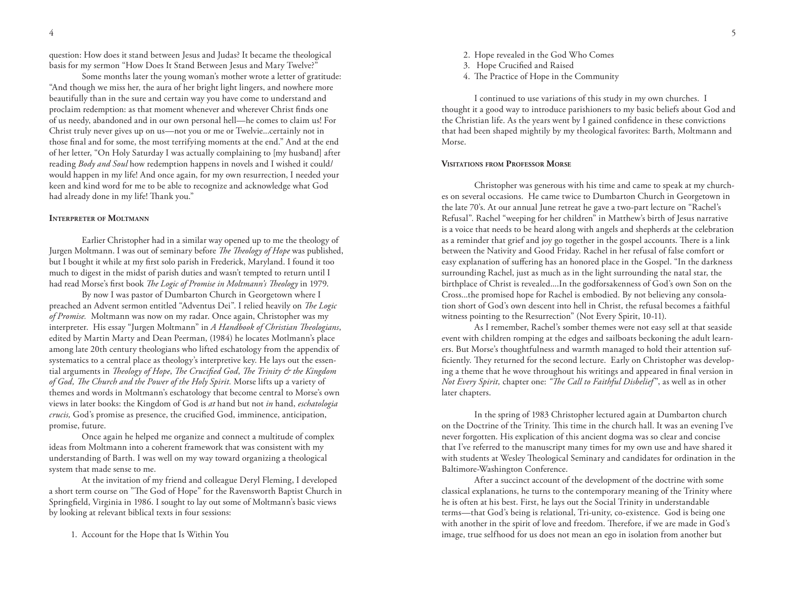question: How does it stand between Jesus and Judas? It became the theological basis for my sermon "How Does It Stand Between Jesus and Mary Twelve?"

Some months later the young woman's mother wrote a letter of gratitude: "And though we miss her, the aura of her bright light lingers, and nowhere more beautifully than in the sure and certain way you have come to understand and proclaim redemption: as that moment whenever and wherever Christ finds one of us needy, abandoned and in our own personal hell—he comes to claim us! For Christ truly never gives up on us—not you or me or Twelvie...certainly not in those final and for some, the most terrifying moments at the end." And at the end of her letter, "On Holy Saturday I was actually complaining to [my husband] after reading *Body and Soul* how redemption happens in novels and I wished it could/ would happen in my life! And once again, for my own resurrection, I needed your keen and kind word for me to be able to recognize and acknowledge what God had already done in my life! Thank you."

## **Interpreter of Moltmann**

Earlier Christopher had in a similar way opened up to me the theology of Jurgen Moltmann. I was out of seminary before *The Theology of Hope* was published, but I bought it while at my first solo parish in Frederick, Maryland. I found it too much to digest in the midst of parish duties and wasn't tempted to return until I had read Morse's first book *The Logic of Promise in Moltmann's Theology* in 1979.

By now I was pastor of Dumbarton Church in Georgetown where I preached an Advent sermon entitled "Adventus Dei". I relied heavily on *The Logic of Promise.* Moltmann was now on my radar. Once again, Christopher was my interpreter. His essay "Jurgen Moltmann" in *A Handbook of Christian Theologians*, edited by Martin Marty and Dean Peerman, (1984) he locates Motlmann's place among late 20th century theologians who lifted eschatology from the appendix of systematics to a central place as theology's interpretive key. He lays out the essential arguments in *Theology of Hope*, *The Crucified God*, *The Trinity & the Kingdom of God, The Church and the Power of the Holy Spirit.* Morse lifts up a variety of themes and words in Moltmann's eschatology that become central to Morse's own views in later books: the Kingdom of God is *at* hand but not *in* hand, *eschatologia crucis,* God's promise as presence, the crucified God, imminence, anticipation, promise, future.

Once again he helped me organize and connect a multitude of complex ideas from Moltmann into a coherent framework that was consistent with my understanding of Barth. I was well on my way toward organizing a theological system that made sense to me.

At the invitation of my friend and colleague Deryl Fleming, I developed a short term course on "The God of Hope" for the Ravensworth Baptist Church in Springfield, Virginia in 1986. I sought to lay out some of Moltmann's basic views by looking at relevant biblical texts in four sessions:

1. Account for the Hope that Is Within You

- 2. Hope revealed in the God Who Comes
- 3. Hope Crucified and Raised
- 4. The Practice of Hope in the Community

I continued to use variations of this study in my own churches. I thought it a good way to introduce parishioners to my basic beliefs about God and the Christian life. As the years went by I gained confidence in these convictions that had been shaped mightily by my theological favorites: Barth, Moltmann and Morse.

## **Visitations from Professor Morse**

Christopher was generous with his time and came to speak at my churches on several occasions. He came twice to Dumbarton Church in Georgetown in the late 70's. At our annual June retreat he gave a two-part lecture on "Rachel's Refusal". Rachel "weeping for her children" in Matthew's birth of Jesus narrative is a voice that needs to be heard along with angels and shepherds at the celebration as a reminder that grief and joy go together in the gospel accounts. There is a link between the Nativity and Good Friday. Rachel in her refusal of false comfort or easy explanation of suffering has an honored place in the Gospel. "In the darkness surrounding Rachel, just as much as in the light surrounding the natal star, the birthplace of Christ is revealed....In the godforsakenness of God's own Son on the Cross...the promised hope for Rachel is embodied. By not believing any consolation short of God's own descent into hell in Christ, the refusal becomes a faithful witness pointing to the Resurrection" (Not Every Spirit, 10-11).

As I remember, Rachel's somber themes were not easy sell at that seaside event with children romping at the edges and sailboats beckoning the adult learners. But Morse's thoughtfulness and warmth managed to hold their attention sufficiently. They returned for the second lecture. Early on Christopher was developing a theme that he wove throughout his writings and appeared in final version in *Not Every Spirit,* chapter one: *"The Call to Faithful Disbelief* ", as well as in other later chapters.

In the spring of 1983 Christopher lectured again at Dumbarton church on the Doctrine of the Trinity. This time in the church hall. It was an evening I've never forgotten. His explication of this ancient dogma was so clear and concise that I've referred to the manuscript many times for my own use and have shared it with students at Wesley Theological Seminary and candidates for ordination in the Baltimore-Washington Conference.

After a succinct account of the development of the doctrine with some classical explanations, he turns to the contemporary meaning of the Trinity where he is often at his best. First, he lays out the Social Trinity in understandable terms—that God's being is relational, Tri-unity, co-existence. God is being one with another in the spirit of love and freedom. Therefore, if we are made in God's image, true selfhood for us does not mean an ego in isolation from another but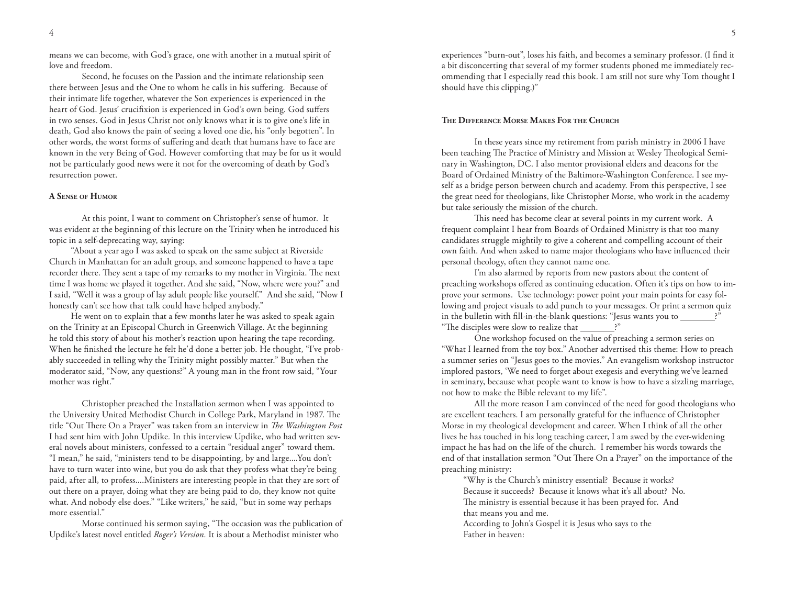means we can become, with God's grace, one with another in a mutual spirit of love and freedom.

Second, he focuses on the Passion and the intimate relationship seen there between Jesus and the One to whom he calls in his suffering. Because of their intimate life together, whatever the Son experiences is experienced in the heart of God. Jesus' crucifixion is experienced in God's own being. God suffers in two senses. God in Jesus Christ not only knows what it is to give one's life in death, God also knows the pain of seeing a loved one die, his "only begotten". In other words, the worst forms of suffering and death that humans have to face are known in the very Being of God. However comforting that may be for us it would not be particularly good news were it not for the overcoming of death by God's resurrection power.

## **A Sense of Humor**

At this point, I want to comment on Christopher's sense of humor. It was evident at the beginning of this lecture on the Trinity when he introduced his topic in a self-deprecating way, saying:

"About a year ago I was asked to speak on the same subject at Riverside Church in Manhattan for an adult group, and someone happened to have a tape recorder there. They sent a tape of my remarks to my mother in Virginia. The next time I was home we played it together. And she said, "Now, where were you?" and I said, "Well it was a group of lay adult people like yourself." And she said, "Now I honestly can't see how that talk could have helped anybody."

He went on to explain that a few months later he was asked to speak again on the Trinity at an Episcopal Church in Greenwich Village. At the beginning he told this story of about his mother's reaction upon hearing the tape recording. When he finished the lecture he felt he'd done a better job. He thought, "I've probably succeeded in telling why the Trinity might possibly matter." But when the moderator said, "Now, any questions?" A young man in the front row said, "Your mother was right."

Christopher preached the Installation sermon when I was appointed to the University United Methodist Church in College Park, Maryland in 1987. The title "Out There On a Prayer" was taken from an interview in *The Washington Post* I had sent him with John Updike*.* In this interview Updike, who had written several novels about ministers, confessed to a certain "residual anger" toward them. "I mean," he said, "ministers tend to be disappointing, by and large....You don't have to turn water into wine, but you do ask that they profess what they're being paid, after all, to profess....Ministers are interesting people in that they are sort of out there on a prayer, doing what they are being paid to do, they know not quite what. And nobody else does." "Like writers," he said, "but in some way perhaps more essential."

Morse continued his sermon saying, "The occasion was the publication of Updike's latest novel entitled *Roger's Version.* It is about a Methodist minister who

experiences "burn-out", loses his faith, and becomes a seminary professor. (I find it a bit disconcerting that several of my former students phoned me immediately recommending that I especially read this book. I am still not sure why Tom thought I should have this clipping.)"

## **The Difference Morse Makes For the Church**

In these years since my retirement from parish ministry in 2006 I have been teaching The Practice of Ministry and Mission at Wesley Theological Seminary in Washington, DC. I also mentor provisional elders and deacons for the Board of Ordained Ministry of the Baltimore-Washington Conference. I see myself as a bridge person between church and academy. From this perspective, I see the great need for theologians, like Christopher Morse, who work in the academy but take seriously the mission of the church.

This need has become clear at several points in my current work. A frequent complaint I hear from Boards of Ordained Ministry is that too many candidates struggle mightily to give a coherent and compelling account of their own faith. And when asked to name major theologians who have influenced their personal theology, often they cannot name one.

I'm also alarmed by reports from new pastors about the content of preaching workshops offered as continuing education. Often it's tips on how to improve your sermons. Use technology: power point your main points for easy following and project visuals to add punch to your messages. Or print a sermon quiz in the bulletin with fill-in-the-blank questions: "Jesus wants you to "The disciples were slow to realize that \_\_\_\_\_\_\_?"

One workshop focused on the value of preaching a sermon series on "What I learned from the toy box." Another advertised this theme: How to preach a summer series on "Jesus goes to the movies." An evangelism workshop instructor implored pastors, 'We need to forget about exegesis and everything we've learned in seminary, because what people want to know is how to have a sizzling marriage, not how to make the Bible relevant to my life".

All the more reason I am convinced of the need for good theologians who are excellent teachers. I am personally grateful for the influence of Christopher Morse in my theological development and career. When I think of all the other lives he has touched in his long teaching career, I am awed by the ever-widening impact he has had on the life of the church. I remember his words towards the end of that installation sermon "Out There On a Prayer" on the importance of the preaching ministry:

"Why is the Church's ministry essential? Because it works? Because it succeeds? Because it knows what it's all about? No. The ministry is essential because it has been prayed for. And that means you and me.

According to John's Gospel it is Jesus who says to the Father in heaven: